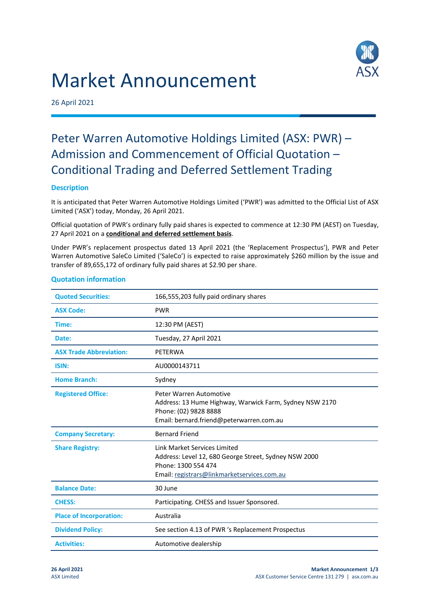# Market Announcement



26 April 2021

# Peter Warren Automotive Holdings Limited (ASX: PWR) – Admission and Commencement of Official Quotation – Conditional Trading and Deferred Settlement Trading

# **Description**

It is anticipated that Peter Warren Automotive Holdings Limited ('PWR') was admitted to the Official List of ASX Limited ('ASX') today, Monday, 26 April 2021.

Official quotation of PWR's ordinary fully paid shares is expected to commence at 12:30 PM (AEST) on Tuesday, 27 April 2021 on a **conditional and deferred settlement basis**.

Under PWR's replacement prospectus dated 13 April 2021 (the 'Replacement Prospectus'), PWR and Peter Warren Automotive SaleCo Limited ('SaleCo') is expected to raise approximately \$260 million by the issue and transfer of 89,655,172 of ordinary fully paid shares at \$2.90 per share.

| <b>Quoted Securities:</b>      | 166,555,203 fully paid ordinary shares                                                                                                                      |
|--------------------------------|-------------------------------------------------------------------------------------------------------------------------------------------------------------|
| <b>ASX Code:</b>               | <b>PWR</b>                                                                                                                                                  |
| Time:                          | 12:30 PM (AEST)                                                                                                                                             |
| Date:                          | Tuesday, 27 April 2021                                                                                                                                      |
| <b>ASX Trade Abbreviation:</b> | PETERWA                                                                                                                                                     |
| ISIN:                          | AU0000143711                                                                                                                                                |
| <b>Home Branch:</b>            | Sydney                                                                                                                                                      |
| <b>Registered Office:</b>      | Peter Warren Automotive<br>Address: 13 Hume Highway, Warwick Farm, Sydney NSW 2170<br>Phone: (02) 9828 8888<br>Email: bernard.friend@peterwarren.com.au     |
| <b>Company Secretary:</b>      | <b>Bernard Friend</b>                                                                                                                                       |
| <b>Share Registry:</b>         | Link Market Services Limited<br>Address: Level 12, 680 George Street, Sydney NSW 2000<br>Phone: 1300 554 474<br>Email: registrars@linkmarketservices.com.au |
| <b>Balance Date:</b>           | 30 June                                                                                                                                                     |
| <b>CHESS:</b>                  | Participating. CHESS and Issuer Sponsored.                                                                                                                  |
| <b>Place of Incorporation:</b> | Australia                                                                                                                                                   |
| <b>Dividend Policy:</b>        | See section 4.13 of PWR 's Replacement Prospectus                                                                                                           |
| <b>Activities:</b>             | Automotive dealership                                                                                                                                       |

## **Quotation information**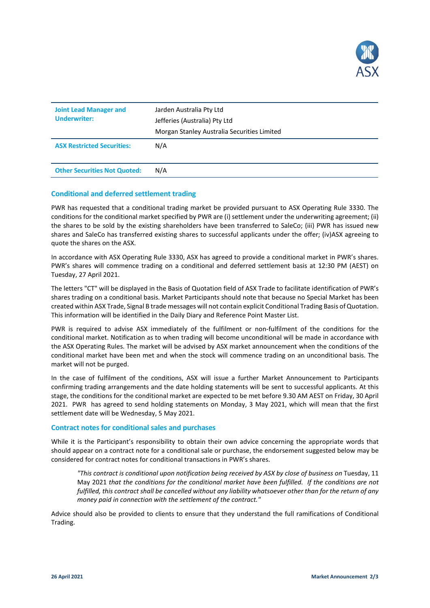

| <b>Joint Lead Manager and</b><br><b>Underwriter:</b> | Jarden Australia Pty Ltd<br>Jefferies (Australia) Pty Ltd<br>Morgan Stanley Australia Securities Limited |
|------------------------------------------------------|----------------------------------------------------------------------------------------------------------|
| <b>ASX Restricted Securities:</b>                    | N/A                                                                                                      |
| <b>Other Securities Not Quoted:</b>                  | N/A                                                                                                      |

## **Conditional and deferred settlement trading**

PWR has requested that a conditional trading market be provided pursuant to ASX Operating Rule 3330. The conditions for the conditional market specified by PWR are (i) settlement under the underwriting agreement; (ii) the shares to be sold by the existing shareholders have been transferred to SaleCo; (iii) PWR has issued new shares and SaleCo has transferred existing shares to successful applicants under the offer; (iv)ASX agreeing to quote the shares on the ASX.

In accordance with ASX Operating Rule 3330, ASX has agreed to provide a conditional market in PWR's shares. PWR's shares will commence trading on a conditional and deferred settlement basis at 12:30 PM (AEST) on Tuesday, 27 April 2021.

The letters "CT" will be displayed in the Basis of Quotation field of ASX Trade to facilitate identification of PWR's shares trading on a conditional basis. Market Participants should note that because no Special Market has been created within ASX Trade, Signal B trade messages will not contain explicit Conditional Trading Basis of Quotation. This information will be identified in the Daily Diary and Reference Point Master List.

PWR is required to advise ASX immediately of the fulfilment or non-fulfilment of the conditions for the conditional market. Notification as to when trading will become unconditional will be made in accordance with the ASX Operating Rules. The market will be advised by ASX market announcement when the conditions of the conditional market have been met and when the stock will commence trading on an unconditional basis. The market will not be purged.

In the case of fulfilment of the conditions, ASX will issue a further Market Announcement to Participants confirming trading arrangements and the date holding statements will be sent to successful applicants. At this stage, the conditions for the conditional market are expected to be met before 9.30 AM AEST on Friday, 30 April 2021. PWR has agreed to send holding statements on Monday, 3 May 2021, which will mean that the first settlement date will be Wednesday, 5 May 2021.

#### **Contract notes for conditional sales and purchases**

While it is the Participant's responsibility to obtain their own advice concerning the appropriate words that should appear on a contract note for a conditional sale or purchase, the endorsement suggested below may be considered for contract notes for conditional transactions in PWR's shares.

*"This contract is conditional upon notification being received by ASX by close of business on* Tuesday, 11 May 2021 *that the conditions for the conditional market have been fulfilled. If the conditions are not fulfilled, this contract shall be cancelled without any liability whatsoever other than for the return of any money paid in connection with the settlement of the contract."*

Advice should also be provided to clients to ensure that they understand the full ramifications of Conditional Trading.